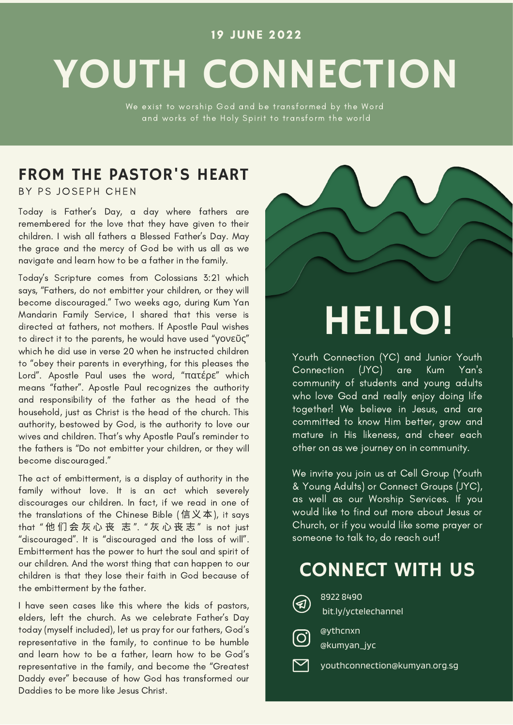#### 19 JUNE 2022

# YOUTH CONNECTION

We exist to worship God and be transformed by the Word and works of the Holy Spirit to transform the world

## FROM THE PASTOR'S HEART

BY PS JOSEPH CHEN

Today is Father's Day, a day where fathers are remembered for the love that they have given to their children. I wish all fathers a Blessed Father's Day. May the grace and the mercy of God be with us all as we navigate and learn how to be a father in the family.

Today's Scripture comes from Colossians 3:21 which says, "Fathers, do not embitter your children, or they will become discouraged." Two weeks ago, during Kum Yan Mandarin Family Service, I shared that this verse is directed at fathers, not mothers. If Apostle Paul wishes to direct it to the parents, he would have used "γονεῦς" which he did use in verse 20 when he instructed children to "obey their parents in everything, for this pleases the Lord". Apostle Paul uses the word, "πατέρε" which means "father". Apostle Paul recognizes the authority and responsibility of the father as the head of the household, just as Christ is the head of the church. This authority, bestowed by God, is the authority to love our wives and children. That's why Apostle Paul's reminder to the fathers is "Do not embitter your children, or they will become discouraged."

The act of embitterment, is a display of authority in the family without love. It is an act which severely discourages our children. In fact, if we read in one of the translations of the Chinese Bible  $($ 信义本), it says that "他们会灰心丧 志". "灰心丧志" is not just "discouraged". It is "discouraged and the loss of will". Embitterment has the power to hurt the soul and spirit of our children. And the worst thing that can happen to our children is that they lose their faith in God because of the embitterment by the father.

I have seen cases like this where the kids of pastors, elders, left the church. As we celebrate Father's Day today (myself included), let us pray for our fathers, God's representative in the family, to continue to be humble and learn how to be a father, learn how to be God's representative in the family, and become the "Greatest Daddy ever" because of how God has transformed our Daddies to be more like Jesus Christ.

# HELLO!

Youth Connection (YC) and Junior Youth Connection (JYC) are Kum Yan's community of students and young adults who love God and really enjoy doing life together! We believe in Jesus, and are committed to know Him better, grow and mature in His likeness, and cheer each other on as we journey on in community.

We invite you join us at Cell Group (Youth & Young Adults) or Connect Groups (JYC), as well as our Worship Services. If you would like to find out more about Jesus or Church, or if you would like some prayer or someone to talk to, do reach out!

# CONNECT WITH US



8922 8490 bit.ly/yctelechannel



@ythcnxn @kumyan\_jyc

youthconnection@kumyan.org.sg